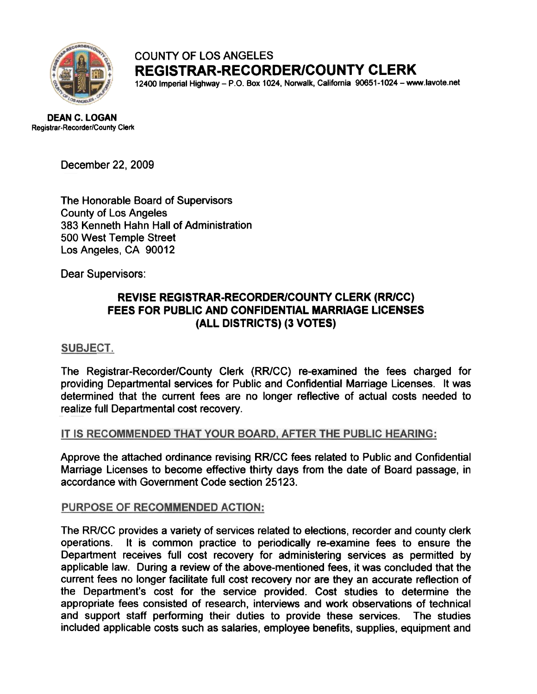

# COUNTY OF LOS ANGELES REGISTRAR-RECORDER/COUNTY CLERK

12400 Imperial Highway-P.O. Box 1024, Norwalk, California 9O651-1024-www.lavote.net

DEAN C. LOGAN Registrar-Recorder/County Clerk

December 22, 2009

The Honorable Board of Supervisors County of Los Angeles 383 Kenneth Hahn Hall of Administration 500 West Temple Street Los Angeles, CA 90012

Dear Supervisors:

## REVISE REGISTRAR-RECORDER/COUNTY CLERK (RR/CC) FEES FOR PUBLIC AND CONFIDENTIAL MARRIAGE LICENSES (ALL DISTRICTS) (3 VOTES)

#### **SUBJECT.**

The Registrar-Recorder/County Clerk (RR/CC) re-examined the fees charged for providing Departmental services for Public and Confidential Marriage Licenses. It was determined that the current fees are no longer reflective of actual costs needed to realize full Departmental cost recovery.

#### IT IS RECOMMENDED THAT YOUR BOARD, AFTER THE PUBLIC HEARING:

Approve the attached ordinance revising RR/CC fees related to Public and Confidential Marriage Licenses to become effective thirty days from the date of Board passage, in accordance with Government Code section 25123.

#### PURPOSE OF RECOMMENDED ACTION:

The RR/CC provides a variety of services related to elections, recorder and county clerk operations. It is common practice to periodically re-examine fees to ensure the Department receives full cost recovery for administering services as permitted by applicable law. During a review of the above-mentioned fees, it was concluded that the current fees no longer facilitate full cost recovery nor are they an accurate reflection of the Department's cost for the service provided. Cost studies to determine the appropriate fees consisted of research, interviews and work observations of technical and support staff performing their duties to provide these services. The studies included applicable costs such as salaries, employee benefits, supplies, equipment and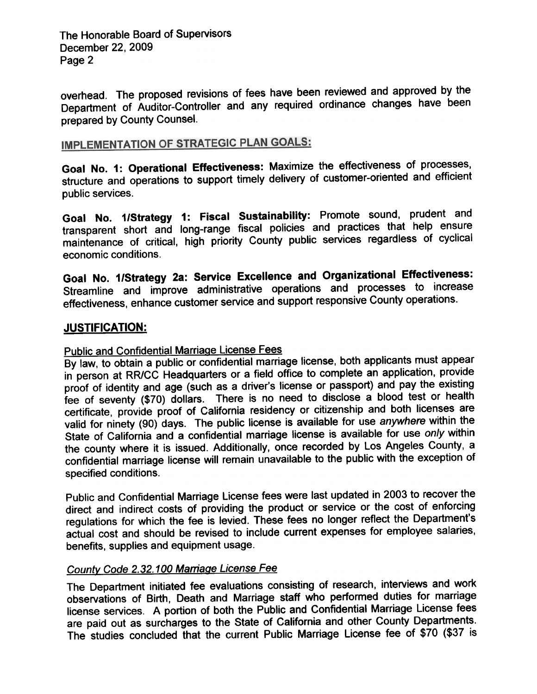The Honorable Board of Supervisors December 22, 2009 Page 2

overhead. The proposed revisions of fees have been reviewed and approved by the Department of Auditor-Controller and any required ordinance changes have been prepared by County Counsel.

# **IMPLEMENTATION OF STRATEGIC PLAN GOALS:**

Goal No. 1: Operational Effectiveness: Maximize the effectiveness of processes, structure and operations to support timely delivery of customer-oriented and efficient public services.

Goal No. 1/Strategy 1: Fiscal Sustainability: Promote sound, prudent and transparent short and long-range fiscal policies and practices that help ensure maintenance of critical, high priority County public services regardless of cyclical economic conditions.

Goal No. 1/Strategy 2a: Service Excellence and Organizational Effectiveness: Streamline and improve administrative operations and processes to increase effectiveness, enhance customer service and support responsive County operations.

## JUSTIFICATION:

# Public and Confidential Marriage License Fees

By law, to obtain a public or confidential marriage license, both applicants must appear in person at RR/CC Headquarters or a field office to complete an application, provide proof of identity and age (such as a driver's license or passport) and pay the existing fee of seventy (\$70) dollars. There is no need to disclose a blood test or health certificate, provide proof of California residency or citizenship and both licenses are valid for ninety (90) days. The public license is available for use anywhere within the State of California and a confidential marriage license is available for use only within the county where it is issued. Additionally, once recorded by Los Angeles County, a confidential marriage license will remain unavailable to the public with the exception of specified conditions.

Public and Confidential Marriage License fees were last updated in 2003 to recover the direct and indirect costs of providing the product or service or the cost of enforcing regulations for which the fee is levied. These fees no longer reflect the Department's actual cost and should be revised to include current expenses for employee salaries, benefits, supplies and equipment usage.

#### County Code 2.32.100 Marriage License Fee

The Department initiated fee evaluations consisting of research, interviews and work observations of Birth, Death and Marriage staff who performed duties for marriage license services. A portion of both the Public and Confidential Marriage License fees are paid out as surcharges to the State of California and other County Departments. The studies concluded that the current Public Marriage License fee of \$70 (\$37 is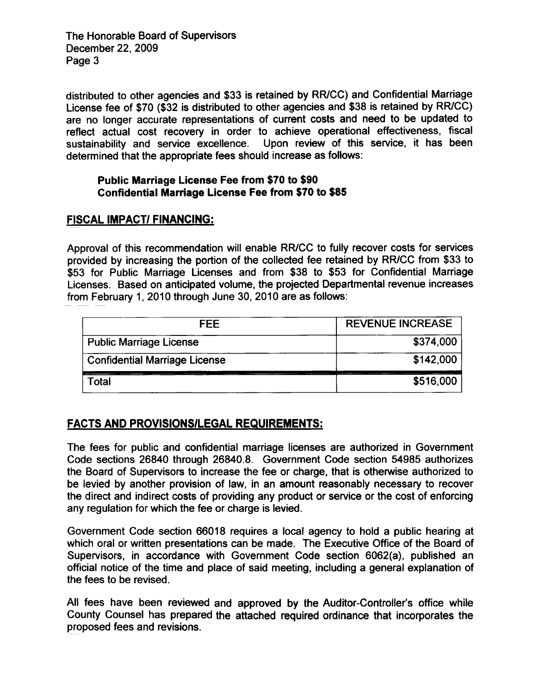The Honorable Board of Supervisors December 22. 2009 Page 3

distributed to other agencies and \$33 is retained by RR/CC) and Confidential Marriage License fee of \$70 (\$32 is distributed to other agencies and \$38 is retained by RR/CC) are no longer accurate representations of current costs and need to be updated to reflect actual cost recovery in order to achieve operational effectiveness, fiscal sustainability and service excellence. Upon review of this service, it has been determined that the appropriate fees should increase as follows:

#### Public Marriage License Fee from \$70 to \$90 Confidential Marriage License Fee from \$70 to \$85

## FISCAL IMPACT/ FINANCING:

Approval of this recommendation will enable RR/CC to fully recover costs for services provided by increasing the portion of the collected fee retained by RR/CC from \$33 to \$53 for Public Marriage Licenses and from \$38 to \$53 for Confidential Marriage Licenses. Based on anticipated volume, the projected Departmental revenue increases from February 1, 2010 through June 30, 2010 are as follows:

| <b>FEE</b>                           | <b>REVENUE INCREASE</b> |
|--------------------------------------|-------------------------|
| <b>Public Marriage License</b>       | \$374,000               |
| <b>Confidential Marriage License</b> | \$142,000               |
| Total                                | \$516,000               |

# FACTS AND PROVISIONS/LEGAL REQUIREMENTS:

The fees for public and confidential marriage licenses are authorized in Government Code sections 26840 through 26840.8. Government Code section 54985 authorizes the Board of Supervisors to increase the fee or charge, that is otherwise authorized to be levied by another provision of law, in an amount reasonably necessary to recover the direct and indirect costs of providing any product or service or the cost of enforcing any regulation for which the fee or charge is levied.

Government Code section 66018 requires a local agency to hold a public hearing at which oral or written presentations can be made. The Executive Office of the Board of Supervisors, in accordance with Government Code section 6062(a), published an official notice of the time and place of said meeting, including a general explanation of the fees to be revised.

All fees have been reviewed and approved by the Auditor-Controller's office while County Counsel has prepared the attached required ordinance that incorporates the proposed fees and revisions.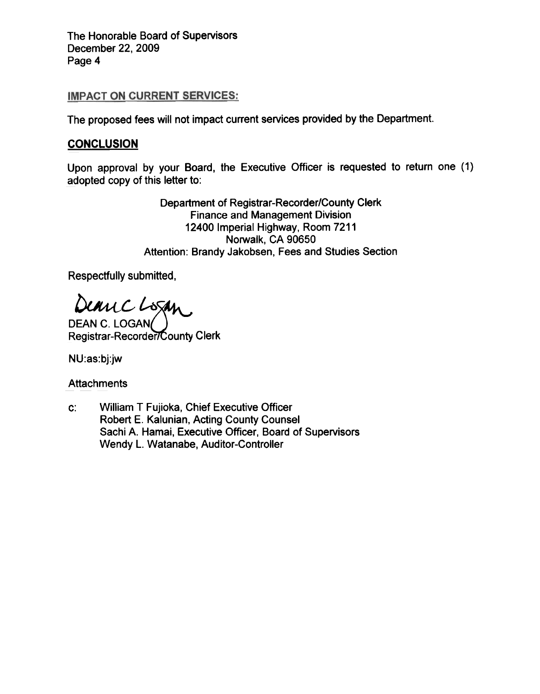The Honorable Board of Supervisors December 22, 2009 Page 4

#### **IMPACT ON CURRENT SERVICES:**

The proposed fees will not impact current services provided by the Department.

## **CONCLUSION**

Upon approval by your Board, the Executive Officer is requested to return one (1) adopted copy of this letter to:

> Department of Registrar-Recorder/County Clerk Finance and Management Division 12400 Imperial Highway, Room 7211 Norwalk, CA 90650 Attention: Brandy Jakobsen, Fees and Studies Section

Respectfully submitted,

Deanc L

DEAN C. LOGAN( Registrar-Recorder/County Clerk

NU:as:bj:jw

**Attachments** 

William T Fujioka, Chief Executive Officer Robert E. Kalunian, Acting County Counsel Sachi A. Hamai, Executive Officer, Board of Supervisors Wendy L. Watanabe, Auditor-Controller c: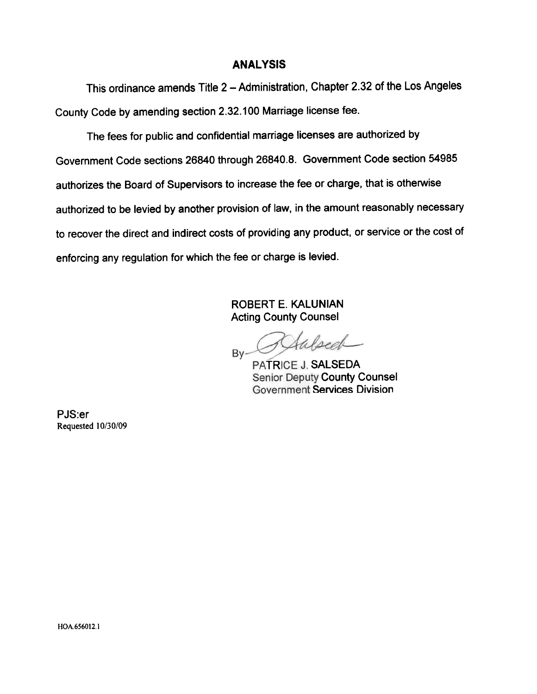#### **ANALYSIS**

This ordinance amends Title 2 - Administration, Chapter 2.32 of the Los Angeles County Code by amending section 2.32.100 Marriage license fee.

The fees for public and confidential marriage licenses are authorized by Government Code sections 26840 through 26840.8. Government Code section 54985 authorizes the Board of Supervisors to increase the fee or charge, that is otherwise authorized to be levied by another provision of law, in the amount reasonably necessary to recover the direct and indirect costs of providing any product, or service or the cost of enforcing any regulation for which the fee or charge is levied.

> ROBERT E. KALUNIAN Acting County Counsel

falsed Bv-

TRICE J. **SALSED**A **Senior Deputy County Counsel Government Services Division** 

PJS:er Requested 10/30/09